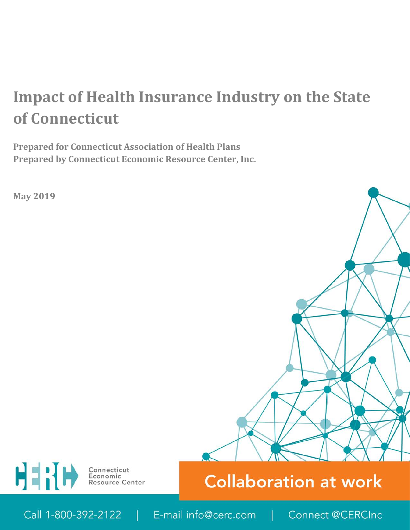# **Impact of Health Insurance Industry on the State of Connecticut**

**Prepared for Connecticut Association of Health Plans Prepared by Connecticut Economic Resource Center, Inc.**

**May 2019**





ì

Call 1-800-392-2122 E-mail info@cerc.com Connect @CERCInc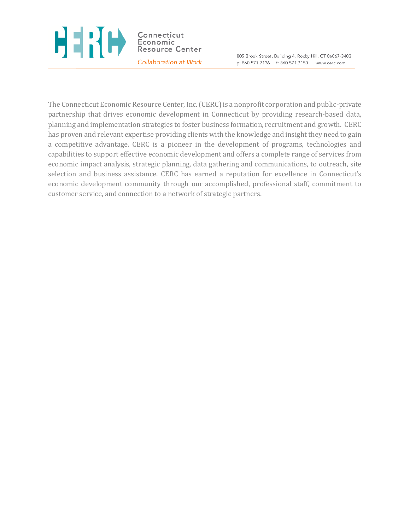#### H 1 H H Connecticut Economic Resource Center Collaboration at Work

805 Brook Street, Building 4, Rocky Hill, CT 06067-3403 p: 860.571.7136 f: 860.571.7150 www.cerc.com

The Connecticut Economic Resource Center, Inc. (CERC) is a nonprofit corporation and public-private partnership that drives economic development in Connecticut by providing research-based data, planning and implementation strategies to foster business formation, recruitment and growth. CERC has proven and relevant expertise providing clients with the knowledge and insight they need to gain a competitive advantage. CERC is a pioneer in the development of programs, technologies and capabilities to support effective economic development and offers a complete range of services from economic impact analysis, strategic planning, data gathering and communications, to outreach, site selection and business assistance. CERC has earned a reputation for excellence in Connecticut's economic development community through our accomplished, professional staff, commitment to customer service, and connection to a network of strategic partners.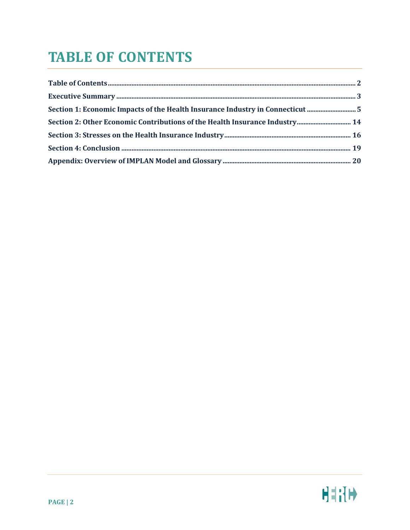### <span id="page-2-0"></span>**TABLE OF CONTENTS**

| Section 1: Economic Impacts of the Health Insurance Industry in Connecticut 5 |  |
|-------------------------------------------------------------------------------|--|
|                                                                               |  |
|                                                                               |  |
|                                                                               |  |
|                                                                               |  |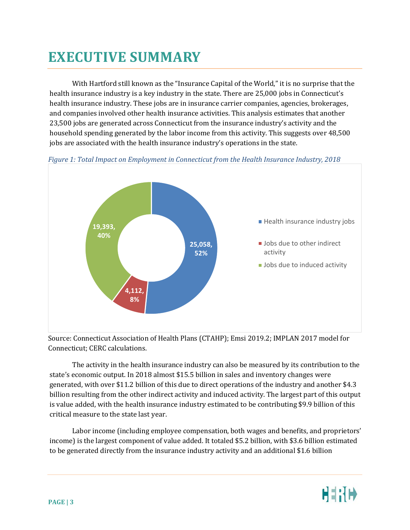### <span id="page-3-0"></span>**EXECUTIVE SUMMARY**

With Hartford still known as the "Insurance Capital of the World," it is no surprise that the health insurance industry is a key industry in the state. There are 25,000 jobs in Connecticut's health insurance industry. These jobs are in insurance carrier companies, agencies, brokerages, and companies involved other health insurance activities. This analysis estimates that another 23,500 jobs are generated across Connecticut from the insurance industry's activity and the household spending generated by the labor income from this activity. This suggests over 48,500 jobs are associated with the health insurance industry's operations in the state.





Source: Connecticut Association of Health Plans (CTAHP); Emsi 2019.2; IMPLAN 2017 model for Connecticut; CERC calculations.

The activity in the health insurance industry can also be measured by its contribution to the state's economic output. In 2018 almost \$15.5 billion in sales and inventory changes were generated, with over \$11.2 billion of this due to direct operations of the industry and another \$4.3 billion resulting from the other indirect activity and induced activity. The largest part of this output is value added, with the health insurance industry estimated to be contributing \$9.9 billion of this critical measure to the state last year.

Labor income (including employee compensation, both wages and benefits, and proprietors' income) is the largest component of value added. It totaled \$5.2 billion, with \$3.6 billion estimated to be generated directly from the insurance industry activity and an additional \$1.6 billion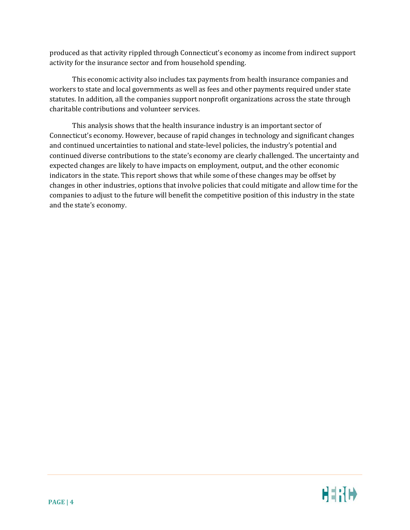produced as that activity rippled through Connecticut's economy as income from indirect support activity for the insurance sector and from household spending.

This economic activity also includes tax payments from health insurance companies and workers to state and local governments as well as fees and other payments required under state statutes. In addition, all the companies support nonprofit organizations across the state through charitable contributions and volunteer services.

This analysis shows that the health insurance industry is an important sector of Connecticut's economy. However, because of rapid changes in technology and significant changes and continued uncertainties to national and state-level policies, the industry's potential and continued diverse contributions to the state's economy are clearly challenged. The uncertainty and expected changes are likely to have impacts on employment, output, and the other economic indicators in the state. This report shows that while some of these changes may be offset by changes in other industries, options that involve policies that could mitigate and allow time for the companies to adjust to the future will benefit the competitive position of this industry in the state and the state's economy.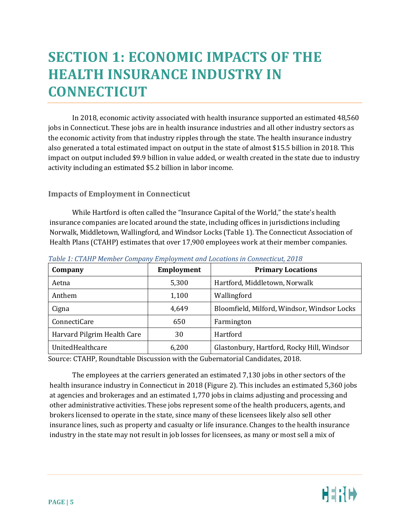### <span id="page-5-0"></span>**SECTION 1: ECONOMIC IMPACTS OF THE HEALTH INSURANCE INDUSTRY IN CONNECTICUT**

In 2018, economic activity associated with health insurance supported an estimated 48,560 jobs in Connecticut. These jobs are in health insurance industries and all other industry sectors as the economic activity from that industry ripples through the state. The health insurance industry also generated a total estimated impact on output in the state of almost \$15.5 billion in 2018. This impact on output included \$9.9 billion in value added, or wealth created in the state due to industry activity including an estimated \$5.2 billion in labor income.

#### **Impacts of Employment in Connecticut**

While Hartford is often called the "Insurance Capital of the World," the state's health insurance companies are located around the state, including offices in jurisdictions including Norwalk, Middletown, Wallingford, and Windsor Locks [\(Table 1\)](#page-5-1). The Connecticut Association of Health Plans (CTAHP) estimates that over 17,900 employees work at their member companies.

| Company                     | <b>Employment</b> | <b>Primary Locations</b>                    |  |
|-----------------------------|-------------------|---------------------------------------------|--|
| Aetna                       | 5,300             | Hartford, Middletown, Norwalk               |  |
| Anthem                      | 1,100             | Wallingford                                 |  |
| Cigna                       | 4,649             | Bloomfield, Milford, Windsor, Windsor Locks |  |
| ConnectiCare                | 650               | Farmington                                  |  |
| Harvard Pilgrim Health Care | 30                | Hartford                                    |  |
| UnitedHealthcare            | 6,200             | Glastonbury, Hartford, Rocky Hill, Windsor  |  |

<span id="page-5-1"></span>*Table 1: CTAHP Member Company Employment and Locations in Connecticut, 2018*

Source: CTAHP, Roundtable Discussion with the Gubernatorial Candidates, 2018.

The employees at the carriers generated an estimated 7,130 jobs in other sectors of the health insurance industry in Connecticut in 2018 [\(Figure 2\)](#page-6-0). This includes an estimated 5,360 jobs at agencies and brokerages and an estimated 1,770 jobs in claims adjusting and processing and other administrative activities. These jobs represent some of the health producers, agents, and brokers licensed to operate in the state, since many of these licensees likely also sell other insurance lines, such as property and casualty or life insurance. Changes to the health insurance industry in the state may not result in job losses for licensees, as many or most sell a mix of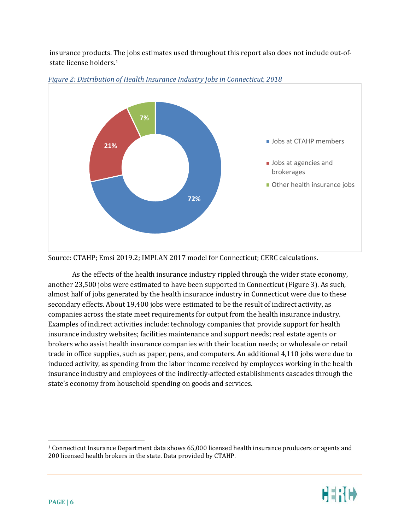insurance products. [Th](#page-6-1)e jobs estimates used throughout this report also does not include out-ofstate license holders.1



<span id="page-6-0"></span>*Figure 2: Distribution of Health Insurance Industry Jobs in Connecticut, 2018*

As the effects of the health insurance industry rippled through the wider state economy, another 23,500 jobs were estimated to have been supported in Connecticut [\(Figure 3\)](#page-7-0). As such, almost half of jobs generated by the health insurance industry in Connecticut were due to these secondary effects. About 19,400 jobs were estimated to be the result of indirect activity, as companies across the state meet requirements for output from the health insurance industry. Examples of indirect activities include: technology companies that provide support for health insurance industry websites; facilities maintenance and support needs; real estate agents or brokers who assist health insurance companies with their location needs; or wholesale or retail trade in office supplies, such as paper, pens, and computers. An additional 4,110 jobs were due to induced activity, as spending from the labor income received by employees working in the health insurance industry and employees of the indirectly-affected establishments cascades through the state's economy from household spending on goods and services.

Source: CTAHP; Emsi 2019.2; IMPLAN 2017 model for Connecticut; CERC calculations.

<span id="page-6-1"></span> <sup>1</sup> Connecticut Insurance Department data shows 65,000 licensed health insurance producers or agents and 200 licensed health brokers in the state. Data provided by CTAHP.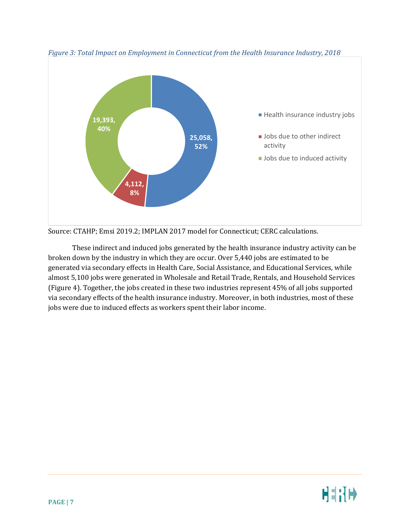

<span id="page-7-0"></span>*Figure 3: Total Impact on Employment in Connecticut from the Health Insurance Industry, 2018*

Source: CTAHP; Emsi 2019.2; IMPLAN 2017 model for Connecticut; CERC calculations.

These indirect and induced jobs generated by the health insurance industry activity can be broken down by the industry in which they are occur. Over 5,440 jobs are estimated to be generated via secondary effects in Health Care, Social Assistance, and Educational Services, while almost 5,100 jobs were generated in Wholesale and Retail Trade, Rentals, and Household Services [\(Figure 4\)](#page-8-0). Together, the jobs created in these two industries represent 45% of all jobs supported via secondary effects of the health insurance industry. Moreover, in both industries, most of these jobs were due to induced effects as workers spent their labor income.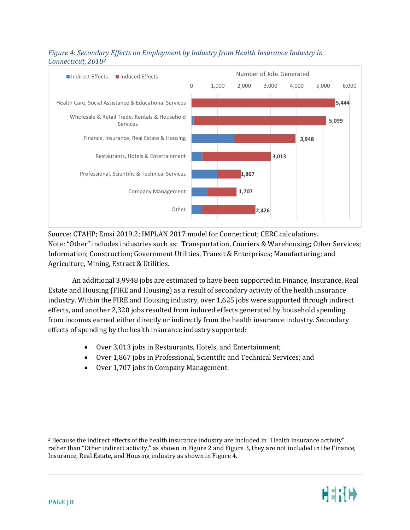

### <span id="page-8-0"></span>*Figure 4: Secondary Effects on Employment by Industry from Health Insurance Industry in Connecticut, 2018[2](#page-8-1)*

Source: CTAHP; Emsi 2019.2; IMPLAN 2017 model for Connecticut; CERC calculations. Note: "Other" includes industries such as: Transportation, Couriers & Warehousing; Other Services; Information; Construction; Government Utilities, Transit & Enterprises; Manufacturing; and Agriculture, Mining, Extract & Utilities.

An additional 3,9948 jobs are estimated to have been supported in Finance, Insurance, Real Estate and Housing (FIRE and Housing) as a result of secondary activity of the health insurance industry. Within the FIRE and Housing industry, over 1,625 jobs were supported through indirect effects, and another 2,320 jobs resulted from induced effects generated by household spending from incomes earned either directly or indirectly from the health insurance industry. Secondary effects of spending by the health insurance industry supported:

- Over 3,013 jobs in Restaurants, Hotels, and Entertainment;
- Over 1,867 jobs in Professional, Scientific and Technical Services; and
- Over 1,707 jobs in Company Management.

<span id="page-8-1"></span> <sup>2</sup> Because the indirect effects of the health insurance industry are included in "Health insurance activity" rather than "Other indirect activity," as shown in [Figure 2](#page-6-0) and [Figure 3,](#page-7-0) they are not included in the Finance, Insurance, Real Estate, and Housing industry as shown i[n Figure 4.](#page-8-0)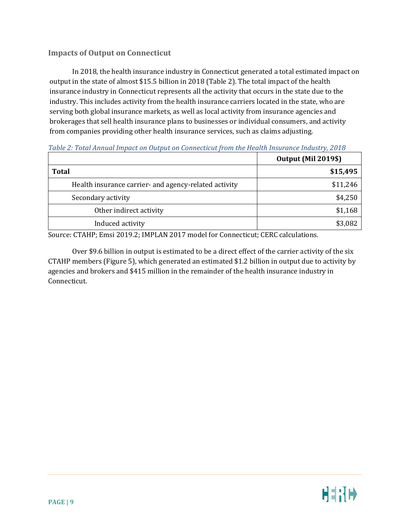### **Impacts of Output on Connecticut**

In 2018, the health insurance industry in Connecticut generated a total estimated impact on output in the state of almost \$15.5 billion in 2018 [\(Table 2\)](#page-9-0). The total impact of the health insurance industry in Connecticut represents all the activity that occurs in the state due to the industry. This includes activity from the health insurance carriers located in the state, who are serving both global insurance markets, as well as local activity from insurance agencies and brokerages that sell health insurance plans to businesses or individual consumers, and activity from companies providing other health insurance services, such as claims adjusting.

<span id="page-9-0"></span>

|                                                       | <b>Output (Mil 2019\$)</b> |  |
|-------------------------------------------------------|----------------------------|--|
| <b>Total</b>                                          | \$15,495                   |  |
| Health insurance carrier- and agency-related activity | \$11,246                   |  |
| Secondary activity                                    | \$4,250                    |  |
| Other indirect activity                               | \$1,168                    |  |
| Induced activity                                      | \$3,082                    |  |

Source: CTAHP; Emsi 2019.2; IMPLAN 2017 model for Connecticut; CERC calculations.

Over \$9.6 billion in output is estimated to be a direct effect of the carrier activity of the six CTAHP members [\(Figure 5\)](#page-10-0), which generated an estimated \$1.2 billion in output due to activity by agencies and brokers and \$415 million in the remainder of the health insurance industry in Connecticut.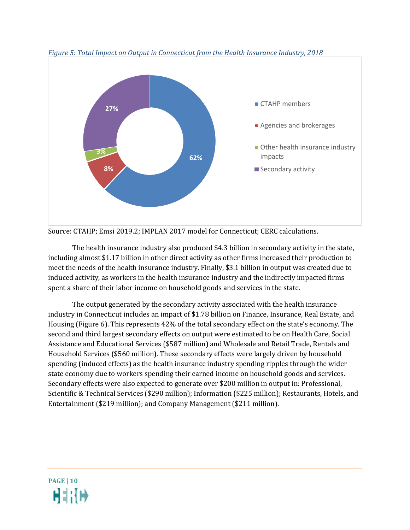

<span id="page-10-0"></span>*Figure 5: Total Impact on Output in Connecticut from the Health Insurance Industry, 2018*

Source: CTAHP; Emsi 2019.2; IMPLAN 2017 model for Connecticut; CERC calculations.

The health insurance industry also produced \$4.3 billion in secondary activity in the state, including almost \$1.17 billion in other direct activity as other firms increased their production to meet the needs of the health insurance industry. Finally, \$3.1 billion in output was created due to induced activity, as workers in the health insurance industry and the indirectly impacted firms spent a share of their labor income on household goods and services in the state.

The output generated by the secondary activity associated with the health insurance industry in Connecticut includes an impact of \$1.78 billion on Finance, Insurance, Real Estate, and Housing [\(Figure 6\)](#page-11-0). This represents 42% of the total secondary effect on the state's economy. The second and third largest secondary effects on output were estimated to be on Health Care, Social Assistance and Educational Services (\$587 million) and Wholesale and Retail Trade, Rentals and Household Services (\$560 million). These secondary effects were largely driven by household spending (induced effects) as the health insurance industry spending ripples through the wider state economy due to workers spending their earned income on household goods and services. Secondary effects were also expected to generate over \$200 million in output in: Professional, Scientific & Technical Services (\$290 million); Information (\$225 million); Restaurants, Hotels, and Entertainment (\$219 million); and Company Management (\$211 million).

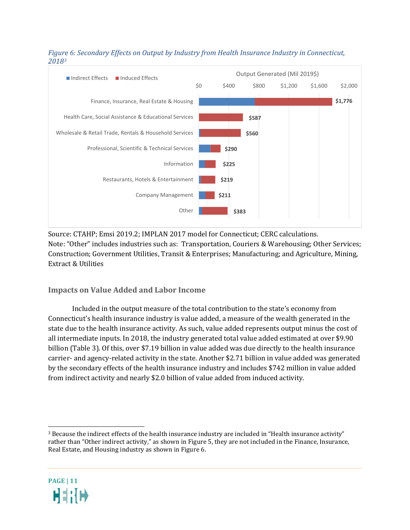

#### <span id="page-11-0"></span>*Figure 6: Secondary Effects on Output by Industry from Health Insurance Industry in Connecticut, 2018[3](#page-11-1)*

Source: CTAHP; Emsi 2019.2; IMPLAN 2017 model for Connecticut; CERC calculations. Note: "Other" includes industries such as: Transportation, Couriers & Warehousing; Other Services; Construction; Government Utilities, Transit & Enterprises; Manufacturing; and Agriculture, Mining, Extract & Utilities

### **Impacts on Value Added and Labor Income**

Included in the output measure of the total contribution to the state's economy from Connecticut's health insurance industry is value added, a measure of the wealth generated in the state due to the health insurance activity. As such, value added represents output minus the cost of all intermediate inputs. In 2018, the industry generated total value added estimated at over \$9.90 billion [\(Table 3\)](#page-12-0). Of this, over \$7.19 billion in value added was due directly to the health insurance carrier- and agency-related activity in the state. Another \$2.71 billion in value added was generated by the secondary effects of the health insurance industry and includes \$742 million in value added from indirect activity and nearly \$2.0 billion of value added from induced activity.

<span id="page-11-1"></span> <sup>3</sup> Because the indirect effects of the health insurance industry are included in "Health insurance activity" rather than "Other indirect activity," as shown in [Figure 5,](#page-10-0) they are not included in the Finance, Insurance, Real Estate, and Housing industry as shown i[n Figure 6.](#page-11-0)

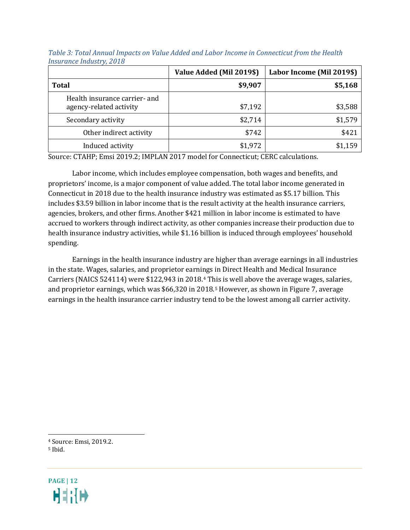|                                                          | Value Added (Mil 2019\$) | Labor Income (Mil 2019\$) |
|----------------------------------------------------------|--------------------------|---------------------------|
| <b>Total</b>                                             | \$9,907                  | \$5,168                   |
| Health insurance carrier- and<br>agency-related activity | \$7,192                  | \$3,588                   |
| Secondary activity                                       | \$2,714                  | \$1,579                   |
| Other indirect activity                                  | \$742                    | \$421                     |
| Induced activity                                         | \$1,972                  | \$1,159                   |

<span id="page-12-0"></span>*Table 3: Total Annual Impacts on Value Added and Labor Income in Connecticut from the Health Insurance Industry, 2018*

Source: CTAHP; Emsi 2019.2; IMPLAN 2017 model for Connecticut; CERC calculations.

Labor income, which includes employee compensation, both wages and benefits, and proprietors' income, is a major component of value added. The total labor income generated in Connecticut in 2018 due to the health insurance industry was estimated as \$5.17 billion. This includes \$3.59 billion in labor income that is the result activity at the health insurance carriers, agencies, brokers, and other firms. Another \$421 million in labor income is estimated to have accrued to workers through indirect activity, as other companies increase their production due to health insurance industry activities, while \$1.16 billion is induced through employees' household spending.

Earnings in the health insurance industry are higher than average earnings in all industries in the state. Wages, salaries, and proprietor earni[n](#page-12-1)gs in Direct Health and Medical Insurance Carriers (NAICS 524114) were \$122,943 in 2018.4 This is well above the average wages, salaries, and proprietor earnings, which was \$66,320 in 2018.[5](#page-12-2) However, as shown i[n Figure 7,](#page-13-0) average earnings in the health insurance carrier industry tend to be the lowest among all carrier activity.

<span id="page-12-1"></span>4 Source: Emsi, 2019.2.

<span id="page-12-2"></span><sup>5</sup> Ibid.

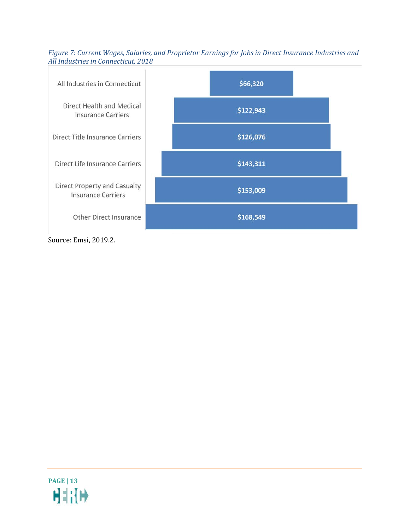<span id="page-13-0"></span>*Figure 7: Current Wages, Salaries, and Proprietor Earnings for Jobs in Direct Insurance Industries and All Industries in Connecticut, 2018*



Source: Emsi, 2019.2.

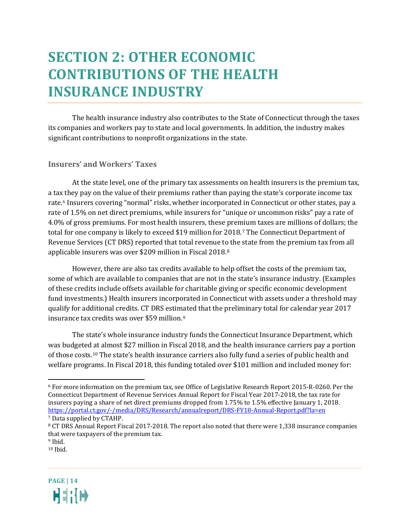### <span id="page-14-0"></span>**SECTION 2: OTHER ECONOMIC CONTRIBUTIONS OF THE HEALTH INSURANCE INDUSTRY**

The health insurance industry also contributes to the State of Connecticut through the taxes its companies and workers pay to state and local governments. In addition, the industry makes significant contributions to nonprofit organizations in the state.

#### **Insurers' and Workers' Taxes**

At the state level, one of the primary tax assessments on health insurers is the premium tax, a ta[x t](#page-14-1)hey pay on the value of their premiums rather than paying the state's corporate income tax rate.6 Insurers covering "normal" risks, whether incorporated in Connecticut or other states, pay a rate of 1.5% on net direct premiums, while insurers for "unique or uncommon risks" pay a rate of 4.0% of gross premiums. For most health insurers, these pre[mi](#page-14-2)um taxes are millions of dollars; the total for one company is likely to exceed \$19 million for 2018.7 The Connecticut Department of Revenue Services (CT DRS) reported that total revenue t[o](#page-14-3) the state from the premium tax from all applicable insurers was over \$209 million in Fiscal 2018.8

However, there are also tax credits available to help offset the costs of the premium tax, some of which are available to companies that are not in the state's insurance industry. (Examples of these credits include offsets available for charitable giving or specific economic development fund investments.) Health insurers incorporated in Connecticut with assets under a threshold may qualify for additional credits. CT DRS estimated that the preliminary total for calendar year 2017 insurance tax credits was over \$59 million.[9](#page-14-4)

The state's whole insurance industry funds the Connecticut Insurance Department, which was budgeted at almost \$27 million in Fiscal 2018, and the health insurance carriers pay a portion of those costs.[10](#page-14-5) The state's health insurance carriers also fully fund a series of public health and welfare programs. In Fiscal 2018, this funding totaled over \$101 million and included money for:

<span id="page-14-5"></span><span id="page-14-4"></span> $10$  Ihid.



<span id="page-14-1"></span> <sup>6</sup> For more information on the premium tax, see Office of Legislative Research Report 2015-R-0260. Per the Connecticut Department of Revenue Services Annual Report for Fiscal Year 2017-2018, the tax rate for insurers paying a share of net direct premiums dropped from 1.75% to 1.5% effective January 1, 2018. <https://portal.ct.gov/-/media/DRS/Research/annualreport/DRS-FY18-Annual-Report.pdf?la=en><br>7 Data supplied by CTAHP.

<span id="page-14-3"></span><span id="page-14-2"></span> $8$  CT DRS Annual Report Fiscal 2017-2018. The report also noted that there were 1,338 insurance companies that were taxpayers of the premium tax.

<sup>9</sup> Ibid.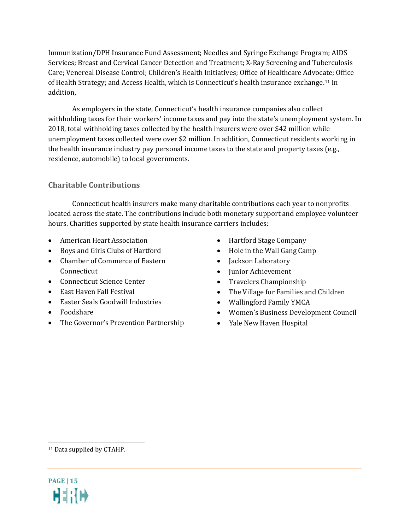Immunization/DPH Insurance Fund Assessment; Needles and Syringe Exchange Program; AIDS Services; Breast and Cervical Cancer Detection and Treatment; X-Ray Screening and Tuberculosis Care; Venereal Disease Control; Children's Health Initiatives; Office of Healthcare Advocate; Office of Health Strategy; and Access Health, which is Connecticut's health insurance exchange.[11](#page-15-0) In addition,

As employers in the state, Connecticut's health insurance companies also collect withholding taxes for their workers' income taxes and pay into the state's unemployment system. In 2018, total withholding taxes collected by the health insurers were over \$42 million while unemployment taxes collected were over \$2 million. In addition, Connecticut residents working in the health insurance industry pay personal income taxes to the state and property taxes (e.g., residence, automobile) to local governments.

### **Charitable Contributions**

Connecticut health insurers make many charitable contributions each year to nonprofits located across the state. The contributions include both monetary support and employee volunteer hours. Charities supported by state health insurance carriers includes:

- American Heart Association
- Boys and Girls Clubs of Hartford
- Chamber of Commerce of Eastern Connecticut
- Connecticut Science Center
- East Haven Fall Festival
- Easter Seals Goodwill Industries
- Foodshare
- The Governor's Prevention Partnership
- Hartford Stage Company
- Hole in the Wall Gang Camp
- Jackson Laboratory
- Junior Achievement
- Travelers Championship
- The Village for Families and Children
- Wallingford Family YMCA
- Women's Business Development Council
- Yale New Haven Hospital

<span id="page-15-0"></span>11 Data supplied by CTAHP.

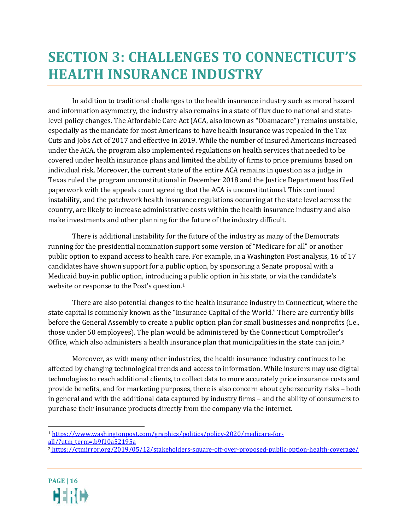### <span id="page-16-0"></span>**SECTION 3: CHALLENGES TO CONNECTICUT'S HEALTH INSURANCE INDUSTRY**

In addition to traditional challenges to the health insurance industry such as moral hazard and information asymmetry, the industry also remains in a state of flux due to national and statelevel policy changes. The Affordable Care Act (ACA, also known as "Obamacare") remains unstable, especially as the mandate for most Americans to have health insurance was repealed in the Tax Cuts and Jobs Act of 2017 and effective in 2019. While the number of insured Americans increased under the ACA, the program also implemented regulations on health services that needed to be covered under health insurance plans and limited the ability of firms to price premiums based on individual risk. Moreover, the current state of the entire ACA remains in question as a judge in Texas ruled the program unconstitutional in December 2018 and the Justice Department has filed paperwork with the appeals court agreeing that the ACA is unconstitutional. This continued instability, and the patchwork health insurance regulations occurring at the state level across the country, are likely to increase administrative costs within the health insurance industry and also make investments and other planning for the future of the industry difficult.

There is additional instability for the future of the industry as many of the Democrats running for the presidential nomination support some version of "Medicare for all" or another public option to expand access to health care. For example, in a Washington Post analysis, 16 of 17 candidates have shown support for a public option, by sponsoring a Senate proposal with a Medicaid buy-in public option, introducing a public option in his state, or via the candidate's website or response to the Post's question.[1](#page-16-1)

There are also potential changes to the health insurance industry in Connecticut, where the state capital is commonly known as the "Insurance Capital of the World." There are currently bills before the General Assembly to create a public option plan for small businesses and nonprofits (i.e., those under 50 employees). The plan would be administered by the Connecticut Comptroller's Office, which also administers a health insurance plan that municipalities in the state can join.[2](#page-16-2)

Moreover, as with many other industries, the health insurance industry continues to be affected by changing technological trends and access to information. While insurers may use digital technologies to reach additional clients, to collect data to more accurately price insurance costs and provide benefits, and for marketing purposes, there is also concern about cybersecurity risks – both in general and with the additional data captured by industry firms – and the ability of consumers to purchase their insurance products directly from the company via the internet.

<span id="page-16-2"></span><sup>2</sup> <https://ctmirror.org/2019/05/12/stakeholders-square-off-over-proposed-public-option-health-coverage/>



<span id="page-16-1"></span> <sup>1</sup> [https://www.washingtonpost.com/graphics/politics/policy-2020/medicare-for](https://www.washingtonpost.com/graphics/politics/policy-2020/medicare-for-all/?utm_term=.b9f10a52195a)[all/?utm\\_term=.b9f10a52195a](https://www.washingtonpost.com/graphics/politics/policy-2020/medicare-for-all/?utm_term=.b9f10a52195a)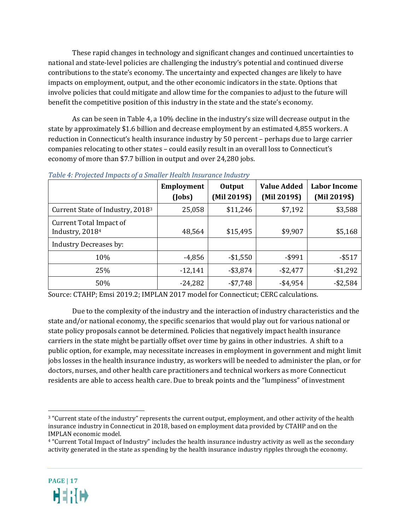These rapid changes in technology and significant changes and continued uncertainties to national and state-level policies are challenging the industry's potential and continued diverse contributions to the state's economy. The uncertainty and expected changes are likely to have impacts on employment, output, and the other economic indicators in the state. Options that involve policies that could mitigate and allow time for the companies to adjust to the future will benefit the competitive position of this industry in the state and the state's economy.

As can be seen in [Table 4,](#page-17-0) a 10% decline in the industry's size will decrease output in the state by approximately \$1.6 billion and decrease employment by an estimated 4,855 workers. A reduction in Connecticut's health insurance industry by 50 percent – perhaps due to large carrier companies relocating to other states – could easily result in an overall loss to Connecticut's economy of more than \$7.7 billion in output and over 24,280 jobs.

|                                                        | <b>Employment</b><br>(Jobs) | Output<br>(Mil 2019\$) | <b>Value Added</b><br>(Mil 2019\$) | <b>Labor Income</b><br>(Mil 2019\$) |
|--------------------------------------------------------|-----------------------------|------------------------|------------------------------------|-------------------------------------|
| Current State of Industry, 2018 <sup>3</sup>           | 25,058                      | \$11,246               | \$7,192                            | \$3,588                             |
| Current Total Impact of<br>Industry, 2018 <sup>4</sup> | 48,564                      | \$15,495               | \$9,907                            | \$5,168                             |
| <b>Industry Decreases by:</b>                          |                             |                        |                                    |                                     |
| 10%                                                    | $-4,856$                    | $-$1,550$              | $-$ \$991                          | $-$ \$517                           |
| 25%                                                    | $-12,141$                   | $-$ \$3,874            | $-$ \$2,477                        | $-$1,292$                           |
| 50%                                                    | $-24,282$                   | $-$7,748$              | $-$ \$4,954                        | $-$2,584$                           |

#### <span id="page-17-0"></span>*Table 4: Projected Impacts of a Smaller Health Insurance Industry*

Source: CTAHP; Emsi 2019.2; IMPLAN 2017 model for Connecticut; CERC calculations.

Due to the complexity of the industry and the interaction of industry characteristics and the state and/or national economy, the specific scenarios that would play out for various national or state policy proposals cannot be determined. Policies that negatively impact health insurance carriers in the state might be partially offset over time by gains in other industries. A shift to a public option, for example, may necessitate increases in employment in government and might limit jobs losses in the health insurance industry, as workers will be needed to administer the plan, or for doctors, nurses, and other health care practitioners and technical workers as more Connecticut residents are able to access health care. Due to break points and the "lumpiness" of investment

<span id="page-17-2"></span><sup>4</sup> "Current Total Impact of Industry" includes the health insurance industry activity as well as the secondary activity generated in the state as spending by the health insurance industry ripples through the economy.



<span id="page-17-1"></span> <sup>3</sup> "Current state of the industry" represents the current output, employment, and other activity of the health insurance industry in Connecticut in 2018, based on employment data provided by CTAHP and on the IMPLAN economic model.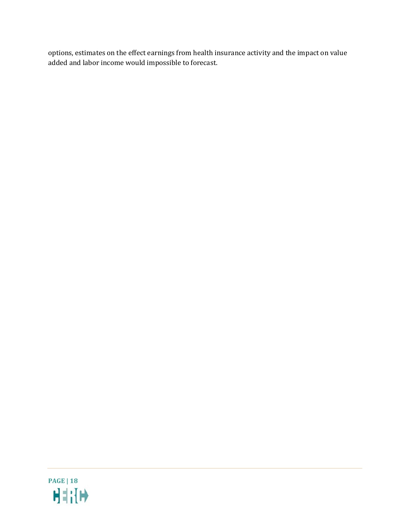options, estimates on the effect earnings from health insurance activity and the impact on value added and labor income would impossible to forecast.

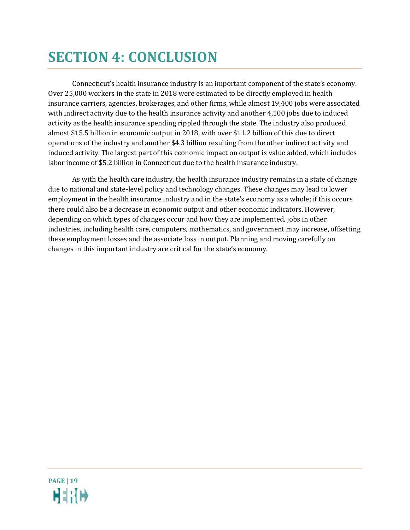## <span id="page-19-0"></span>**SECTION 4: CONCLUSION**

Connecticut's health insurance industry is an important component of the state's economy. Over 25,000 workers in the state in 2018 were estimated to be directly employed in health insurance carriers, agencies, brokerages, and other firms, while almost 19,400 jobs were associated with indirect activity due to the health insurance activity and another 4,100 jobs due to induced activity as the health insurance spending rippled through the state. The industry also produced almost \$15.5 billion in economic output in 2018, with over \$11.2 billion of this due to direct operations of the industry and another \$4.3 billion resulting from the other indirect activity and induced activity. The largest part of this economic impact on output is value added, which includes labor income of \$5.2 billion in Connecticut due to the health insurance industry.

As with the health care industry, the health insurance industry remains in a state of change due to national and state-level policy and technology changes. These changes may lead to lower employment in the health insurance industry and in the state's economy as a whole; if this occurs there could also be a decrease in economic output and other economic indicators. However, depending on which types of changes occur and how they are implemented, jobs in other industries, including health care, computers, mathematics, and government may increase, offsetting these employment losses and the associate loss in output. Planning and moving carefully on changes in this important industry are critical for the state's economy.

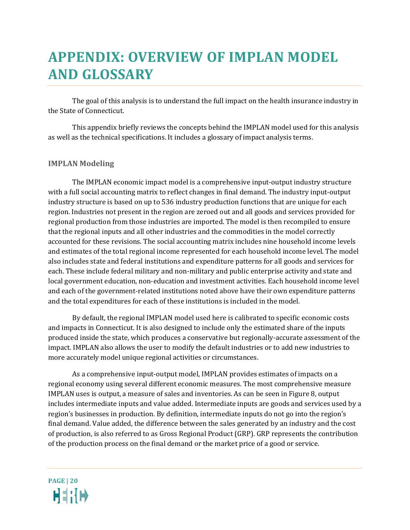### <span id="page-20-0"></span>**APPENDIX: OVERVIEW OF IMPLAN MODEL AND GLOSSARY**

The goal of this analysis is to understand the full impact on the health insurance industry in the State of Connecticut.

This appendix briefly reviews the concepts behind the IMPLAN model used for this analysis as well as the technical specifications. It includes a glossary of impact analysis terms.

#### **IMPLAN Modeling**

The IMPLAN economic impact model is a comprehensive input-output industry structure with a full social accounting matrix to reflect changes in final demand. The industry input-output industry structure is based on up to 536 industry production functions that are unique for each region. Industries not present in the region are zeroed out and all goods and services provided for regional production from those industries are imported. The model is then recompiled to ensure that the regional inputs and all other industries and the commodities in the model correctly accounted for these revisions. The social accounting matrix includes nine household income levels and estimates of the total regional income represented for each household income level. The model also includes state and federal institutions and expenditure patterns for all goods and services for each. These include federal military and non-military and public enterprise activity and state and local government education, non-education and investment activities. Each household income level and each of the government-related institutions noted above have their own expenditure patterns and the total expenditures for each of these institutions is included in the model.

By default, the regional IMPLAN model used here is calibrated to specific economic costs and impacts in Connecticut. It is also designed to include only the estimated share of the inputs produced inside the state, which produces a conservative but regionally-accurate assessment of the impact. IMPLAN also allows the user to modify the default industries or to add new industries to more accurately model unique regional activities or circumstances.

As a comprehensive input-output model, IMPLAN provides estimates of impacts on a regional economy using several different economic measures. The most comprehensive measure IMPLAN uses is output, a measure of sales and inventories. As can be seen in [Figure 8,](#page-21-0) output includes intermediate inputs and value added. Intermediate inputs are goods and services used by a region's businesses in production. By definition, intermediate inputs do not go into the region's final demand. Value added, the difference between the sales generated by an industry and the cost of production, is also referred to as Gross Regional Product (GRP). GRP represents the contribution of the production process on the final demand or the market price of a good or service.

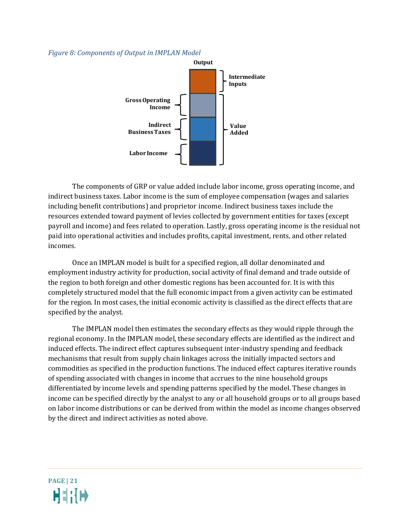#### <span id="page-21-0"></span>*Figure 8: Components of Output in IMPLAN Model*



The components of GRP or value added include labor income, gross operating income, and indirect business taxes. Labor income is the sum of employee compensation (wages and salaries including benefit contributions) and proprietor income. Indirect business taxes include the resources extended toward payment of levies collected by government entities for taxes (except payroll and income) and fees related to operation. Lastly, gross operating income is the residual not paid into operational activities and includes profits, capital investment, rents, and other related incomes.

Once an IMPLAN model is built for a specified region, all dollar denominated and employment industry activity for production, social activity of final demand and trade outside of the region to both foreign and other domestic regions has been accounted for. It is with this completely structured model that the full economic impact from a given activity can be estimated for the region. In most cases, the initial economic activity is classified as the direct effects that are specified by the analyst.

The IMPLAN model then estimates the secondary effects as they would ripple through the regional economy. In the IMPLAN model, these secondary effects are identified as the indirect and induced effects. The indirect effect captures subsequent inter-industry spending and feedback mechanisms that result from supply chain linkages across the initially impacted sectors and commodities as specified in the production functions. The induced effect captures iterative rounds of spending associated with changes in income that accrues to the nine household groups differentiated by income levels and spending patterns specified by the model. These changes in income can be specified directly by the analyst to any or all household groups or to all groups based on labor income distributions or can be derived from within the model as income changes observed by the direct and indirect activities as noted above.

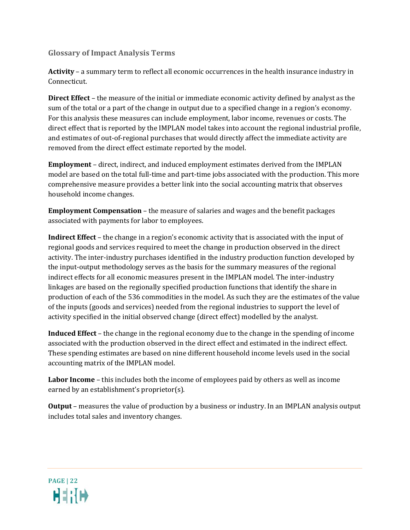**Glossary of Impact Analysis Terms**

**Activity** – a summary term to reflect all economic occurrences in the health insurance industry in Connecticut.

**Direct Effect** – the measure of the initial or immediate economic activity defined by analyst as the sum of the total or a part of the change in output due to a specified change in a region's economy. For this analysis these measures can include employment, labor income, revenues or costs. The direct effect that is reported by the IMPLAN model takes into account the regional industrial profile, and estimates of out-of-regional purchases that would directly affect the immediate activity are removed from the direct effect estimate reported by the model.

**Employment** – direct, indirect, and induced employment estimates derived from the IMPLAN model are based on the total full-time and part-time jobs associated with the production. This more comprehensive measure provides a better link into the social accounting matrix that observes household income changes.

**Employment Compensation** – the measure of salaries and wages and the benefit packages associated with payments for labor to employees.

**Indirect Effect** – the change in a region's economic activity that is associated with the input of regional goods and services required to meet the change in production observed in the direct activity. The inter-industry purchases identified in the industry production function developed by the input-output methodology serves as the basis for the summary measures of the regional indirect effects for all economic measures present in the IMPLAN model. The inter-industry linkages are based on the regionally specified production functions that identify the share in production of each of the 536 commodities in the model. As such they are the estimates of the value of the inputs (goods and services) needed from the regional industries to support the level of activity specified in the initial observed change (direct effect) modelled by the analyst.

**Induced Effect** – the change in the regional economy due to the change in the spending of income associated with the production observed in the direct effect and estimated in the indirect effect. These spending estimates are based on nine different household income levels used in the social accounting matrix of the IMPLAN model.

**Labor Income** – this includes both the income of employees paid by others as well as income earned by an establishment's proprietor(s).

**Output** – measures the value of production by a business or industry. In an IMPLAN analysis output includes total sales and inventory changes.